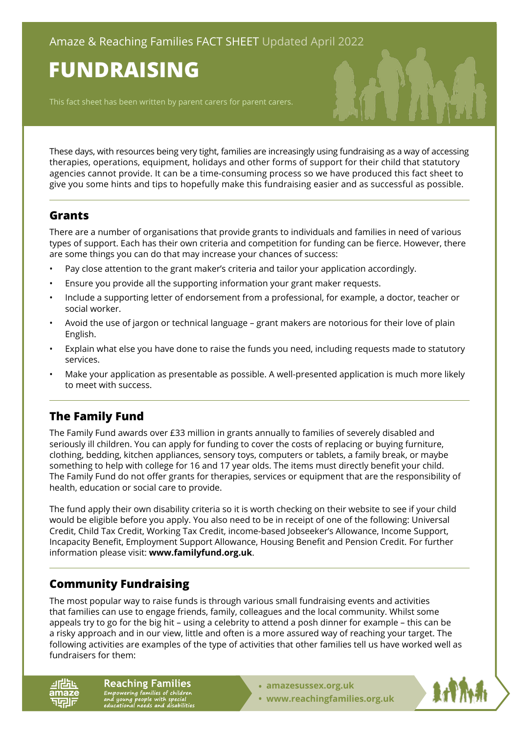# **FUNDRAISING**

This fact sheet has been written by parent carers for parent carers.

These days, with resources being very tight, families are increasingly using fundraising as a way of accessing therapies, operations, equipment, holidays and other forms of support for their child that statutory agencies cannot provide. It can be a time-consuming process so we have produced this fact sheet to give you some hints and tips to hopefully make this fundraising easier and as successful as possible.

#### **Grants**

There are a number of organisations that provide grants to individuals and families in need of various types of support. Each has their own criteria and competition for funding can be fierce. However, there are some things you can do that may increase your chances of success:

- Pay close attention to the grant maker's criteria and tailor your application accordingly.
- Ensure you provide all the supporting information your grant maker requests.
- Include a supporting letter of endorsement from a professional, for example, a doctor, teacher or social worker.
- Avoid the use of jargon or technical language grant makers are notorious for their love of plain English.
- Explain what else you have done to raise the funds you need, including requests made to statutory services.
- Make your application as presentable as possible. A well-presented application is much more likely to meet with success.

## **The Family Fund**

The Family Fund awards over £33 million in grants annually to families of severely disabled and seriously ill children. You can apply for funding to cover the costs of replacing or buying furniture, clothing, bedding, kitchen appliances, sensory toys, computers or tablets, a family break, or maybe something to help with college for 16 and 17 year olds. The items must directly benefit your child. The Family Fund do not offer grants for therapies, services or equipment that are the responsibility of health, education or social care to provide.

The fund apply their own disability criteria so it is worth checking on their website to see if your child would be eligible before you apply. You also need to be in receipt of one of the following: Universal Credit, Child Tax Credit, Working Tax Credit, income-based Jobseeker's Allowance, Income Support, Incapacity Benefit, Employment Support Allowance, Housing Benefit and Pension Credit. For further information please visit: **[www.familyfund.org.uk](https://www.familyfund.org.uk/)**.

## **Community Fundraising**

The most popular way to raise funds is through various small fundraising events and activities that families can use to engage friends, family, colleagues and the local community. Whilst some appeals try to go for the big hit – using a celebrity to attend a posh dinner for example – this can be a risky approach and in our view, little and often is a more assured way of reaching your target. The following activities are examples of the type of activities that other families tell us have worked well as fundraisers for them:

**Reaching Families** Empowering families of children<br>and young people with special<br>educational needs and disabilities

- **• [amazesussex.org.uk](https://amazesussex.org.uk)**
- **[www.reachingfamilies.org.uk](https://www.reachingfamilies.org.uk)**